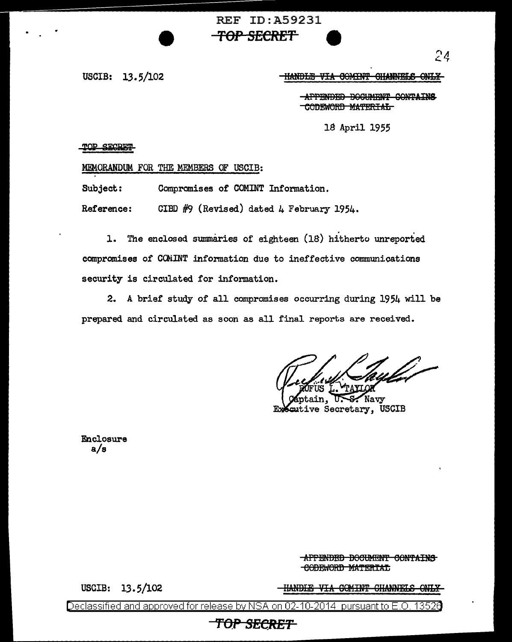## REF ID:A59231 **TOP SECRET 9**

USCIB: 13.5/102

IHANDLE VIA GOMINT GHANNELS ONLY

APPENDED BOGUMENT CONTAINS CODEWORD MATERIAL

18 April 1955

TOP SECRET

.MEMORANDUM FOR THE MEMBERS OF USCIB:

Subject: Compromises of COMINT Information.

Reference: CIBD  $#9$  (Revised) dated 4 February 1954.

1. The enclosed summaries of eighteen (18) hitherto unreported compromises of CCJilINT information due to ineffective communioations security is circulated for information.

2. A brief study of all compromises occurring during 1954 will be prepared and circulated as soon as all final reports are received.

Navy Seutive Secretary, USCIB

Enclosure a/s

> APPENDED DOCUMENT CONTAINS CODEWORD MATERIAL

USCIB: 13. 5/102

HANDIE VIA GOMINT GHANNELS ONLY

Declassified and approved for release by NSA on 02-10-2014 pursuantto E .0. 1352a

## **TOP SECRET**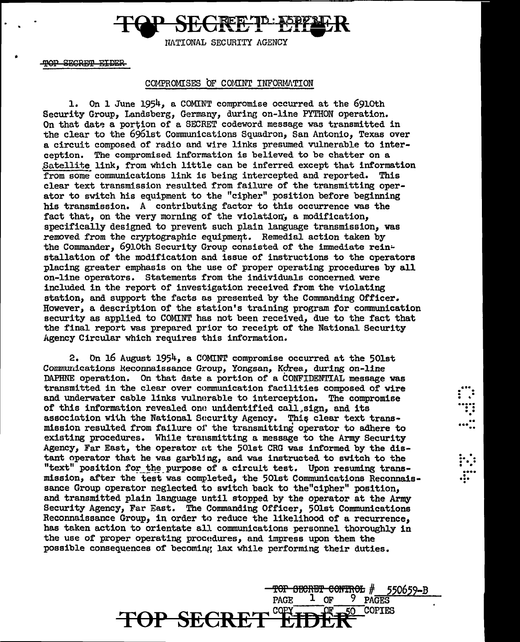NATIONAL SECURITY AGENCY

SECRET FIDER

### COMPROMISES OF COMINT INFORMATION

1. On 1 June 1954, a COMINT compromise occurred at the 691oth Security Group, Landsberg, Germany, during on-line PYTHON operation. On that date a portion of a SECRET codeword message was transmitted in the clear to the 6961st Communications Squadron, San Antonio, Texas over a circuit composed of radio and wire links presumed vulnerable to interception. The compromised information is believed to be chatter on a ,Satellite link, from which little can be inferred except that information from some communications link is being intercepted and reported. This clear text transmission resulted from failure of the transmitting operator to switch his equipment to the "cipher" position before beginning his transmission. A contributing factor to this occurrence was the fact that, on the very morning of the violation, a modification, specifically designed to prevent such plain language transmission, was removed from the cryptographic equipmeqt. Remedial action taken by the Commander, 6910th Security Group consisted of the immediate reinstallation of the modification and issue of instructions to the operators placing greater emphasis on the use of proper operating procedures by all on-line operators. Statements from the individuals concerned were included in the report or investigation received from the violating station, and support the facts as presented by the Commanding Officer. However, a description of the station's training program for conununication security as applied to COMINT has not been received, due to the fact that the final report was prepared prior to receipt or the National Security Agency Circular which requires this information.

2. On 16 August 1954, a COMINT compromise occurred at the 50lst Communications Reconnaissance Group, Yongsan, Korea, during on-line DAPHNE operation. On that date a portion of a CONFIDENTIAL message was transmitted in the clear over communication facilities composed of wire and underwater cable links vulnerable to interception. The compromise of this information revealed one unidentified call sign. and its association with the National Security Agency. This clear text transmission resulted from failure 01· the transmitting operator to adhere to existing procedures. While transmitting a message to the Army Security Agency, Far East, the operator at the 501st CRG was informed by the distant operator that he was garbling, and was instructed to switch to the "text" position for the purpose of a circuit test. Upon resuming transmission, after the test was completed, the 50lst Communications Reconnaissance Group operator neglected to switch back to the"cipher" position, and transmitted plain language until stopped by the operator at the Army Security Agency, Far East. The Commanding Officer, 50lst Communications Reconnaissance Group, in order to reduce the likelihood of a recurrence, has taken action to orientate all communications personnel thoroughly in the use of proper operating procedures, and impress upon them the possible consequences of becoming lax while performing their duties.

**TOP SECRET EIDER** 

 $\frac{10P}{PAGE}$  becker control  $\frac{1}{PAGES}$  = 550659-B

9 PAGES

 $\ddot{r}$  :  $\mathbf{r}$ . .<br>.....

 $\ddot{r}$  . . ... • ...<br>!<br>!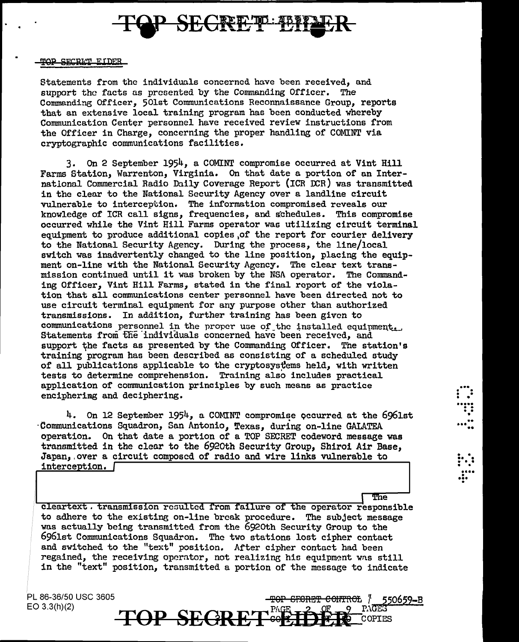

### TOP SECRET EIDER

Statements from the individuals concerned have been received, and support the facts as presented by the Commanding Officer. The Commending Officer, 501st Communications Reconnaissance Group, reports that an extensive local trainine program has been conducted whereby Communication Center personnel have received review instructions from the Officer in Charge, concerning the proper handling of COMINT via cryptographic communications facilities.

3. On 2 September 1954, a COMINT compromise occurred at Vint Hill Farms Station, Warrenton, Virginia. On that date a portion of an International Commercial Radio Daily Coverage Report (ICR DCR) was transmitted in the clear to the National Security Agency over a landline circuit vulnerable to interception. The information compromised reveals our knowledge of ICR call signs, frequencies, and schedules. This compromise occurred while the Vint Hill Farms operator was utilizing circuit terminal equipment to produce additional copies of the report for courier delivery to the National Security Agency. During the process, the line/local switch was inadvertently changed to the line position, placing the equipment on-line with the National Security Agency. The clear text transmission continued until it was broken by the NSA operator. The Commanding Officer, Vint Hill Farms, stated in the final report of the violation that all communications center personnel have been directed not to use circuit terminal equipment for any purpose other than authorized transmissions. In addition, further training has been given to communications personnel in the proper use of the installed equipment. Statements from the individuals concerned have been received, and support the facts as presented by the Commanding Officer. The station's training program has been described as consisting of a scheduled study of all publications applicable to the cryptosystems held, with written tests to determine comprehension. Training also includes practical application of communication principles by such means as practice encipherimg and deciphering.

4. On 12 September 1954, a COMINT compromise occurred at the 6961st Communications Squadron, San Antonio, Texas, during on-line GALATEA operation. On that date a portion or a TOP SECRET codeword message was transmitted in the clear to the 6920th Security Group, Shirai Air Base, Japan,.over a circuit composed or radio and wire links vulnerable to interception. [

 $\overline{\text{The}}$ 

...<br>....<br>....

•  $\ddot{\cdot}$ 

. . .. . . . . . . . •••• ••• .

cleartext. transmission resulted from failure of the operator responsible to adhere to the existing on-line break procedure. The subject message was actually being transmitted from the 6920th Security Group to the 6961st Communications Squadron. The two stations lost cipher contact and switched to the "text" position. After cipher contact had been regained, the receiving operator, not realizing his equipment was still in the "text" position, transmitted a portion of the message to indicate

86-36/50 USC 3605

PL 86-36/50 USC 3605<br>EO 3.3(h)(2) **TOP SEGRET**<sup>PAGE</sup>TP FELL 2 <sup>PAGES</sup> TOP GFORET CONTROL / 550659-B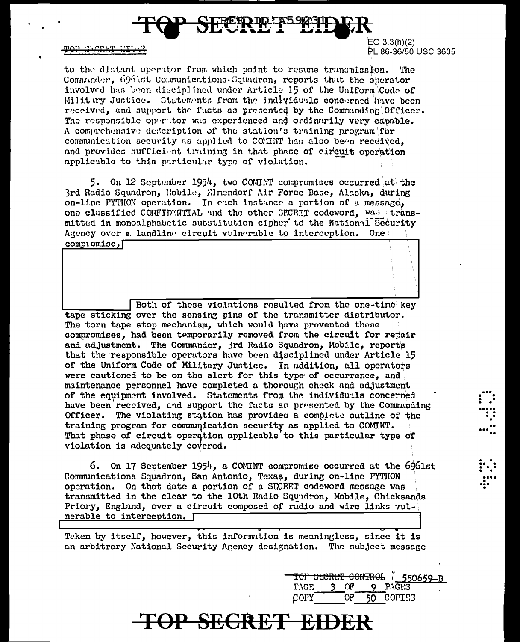

TOP SECRET EIDS?

 $EO 3.3(h)(2)$ PL 86-36/50 USC 3605

to the distant operator from which point to resume transmission. The Communder, 6961st Communications Squadron, reports that the oberator involved has been disciplined under Article 15 of the Uniform Code of Militury Justice. Statement; from the individuals concerned have been received, and support the fucts as presented by the Commanding Officer. The responsible operator was experienced and ordinarily very capable. A comprehensive description of the station's training program for communication security as applied to COMINT has also been received, and provides sufficient training in that phase of circuit operation applicable to this particular type of violation.

5. On 12 September 1954, two COMINT compromises occurred at the 3rd Radio Squadron, Mobile, Elmendorf Air Force Base, Alaska, during on-line PYTHON operation. In each instance a portion of a message. one classified CONFIDENTIAL and the other SECRET codeword, was transmitted in monoalphabetic substitution cipher to the National Security Agency over a landline circuit vulnerable to interception. One comptomise,

Both of these violations resulted from the one-time key tape sticking over the sensing pins of the transmitter distributor. The torn tape stop mechanism, which would have prevented these compromises, had been temporarily removed from the circuit for repair and adjustment. The Commander, jrd Radio Squadron, Mobile, reports that the responsible operators have been disciplined under Article 15 of the Uniform Code of Military Justice. In addition, all operators were cautioned to be on the alert for this type of occurrence, and maintenance personnel have completed a thorough check and adjustment of the equipment involved. Statements from the individuals concerned have been reccived, and support the facts as presented by the Commanding Officer. The violating station has provided a complete outline of the training program for communication security as applied to COMINT. That phase of circuit operation applicable to this particular type of violation is adequately covered.

6. On 17 September 1954, a COMINT compromise occurred at the 6961st Communications Squadron, San Antonio, Texas, during on-line PYTHON operation. On that date a portion of a SECRET codeword message was transmitted in the clear to the 10th Radio Squudron, Mobile, Chicksands Priory, England, over a circuit composed of radio and wire links vulnerable to interception. [

Taken by itself, however, this information is meaningless, since it is an arbitrary National Security Agency designation. The subject message

TOP SECRET EIDER

TOP SECRET CONTROL 7 550659-B **PAGE** 3 OF 9 PAGES OF. 50 COPIES COPY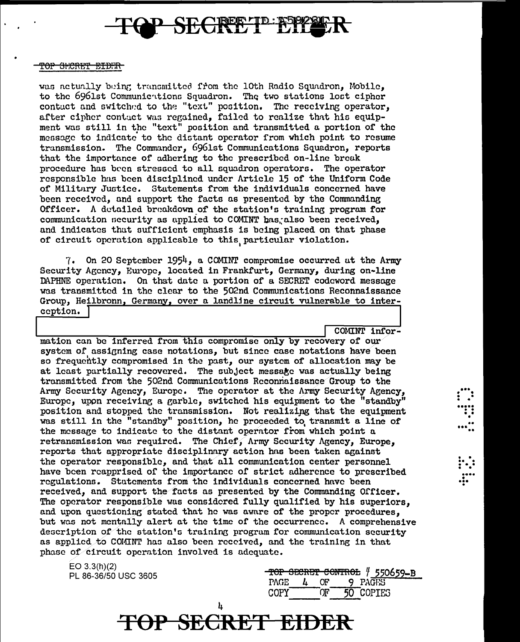

#### <del>TOP SHCRET EIDER</del>

was actually being transmitted from the 10th Radio Squadron, Mobile, to the 6961st Communications Squadron. The two stations lost cipher contact and switched to the "text" position. The receiving operator, after cipher contact was regained, failed to realize that his equipment was still in the "text" position and transmitted a portion of the message to indicate to the distant operator from which point to resume transmission. The Commander, 6961st Communications Squadron, reports that the importance of adhering to the prescribed on-line break procedure has been stressed to all squadron operators. The operator responsible has been disciplined under Article 15 of the Uniform Code of Military Justice. Statements from the individuals concerned have been received, and support the facts as presented by the Commanding Officer. A detailed breakdown of the station's training program for communication security as applied to COMINT bas, also been received, and indicates that sufficient emphasis is being placed on that phase of circuit operation applicable to this particular violation.

7. On 20 September 1954, a COMINT compromise occurred at the Army Security Agency, Europe, located in Frankfurt, Germany, during on-line DAPHNE operation. On that date a portion of a SECRET codeword message was transmitted in the clear to the 502nd Communications Reconnaissance Group, Heilbronn, Germany, over a landline circuit vulnerable to interception.

COMINT infor-

mation can be inferred from this compromise only by recovery of our system of assigning case notations, but since case notations have been so frequently compromised in the past, our system of allocation may be at least partially recovered. The subject message was actually being transmitted from the 502nd Communications Reconnaissance Group to the Army Security Agency, Europe. The operator at the Army Security Agency, Europe, upon receiving a garble, switched his equipment to the "standby" position and stopped the transmission. Not realizing that the equipment was still in the "standby" position, he proceeded to transmit a line of the message to indicate to the distant operator from which point a retransmission was required. The Chief, Army Security Agency, Europe, reports that appropriate disciplinary action has been taken against the operator responsible, and that all communication center personnel have been reapprised of the importance of strict adherence to prescribed regulations. Statements from the individuals concerned have been received, and support the facts as presented by the Commanding Officer. The operator responsible was considered fully qualified by his superiors, and upon questioning stated that he was aware of the proper procedures, but was not mentally alert at the time of the occurrence. A comprehensive description of the station's training program for communication security as applied to COMINT has also been received, and the training in that phase of circuit operation involved is adequate.

**TOP SECRET EIDER** 

 $EO$  3.3(h)(2) PL 86-36/50 USC 3605

| TOP SECRET CONTROL / 550659-B |  |     |  |           |  |  |  |
|-------------------------------|--|-----|--|-----------|--|--|--|
| PAGE.                         |  | OF. |  | 9 PAGES   |  |  |  |
| COPY                          |  |     |  | 50 COPIES |  |  |  |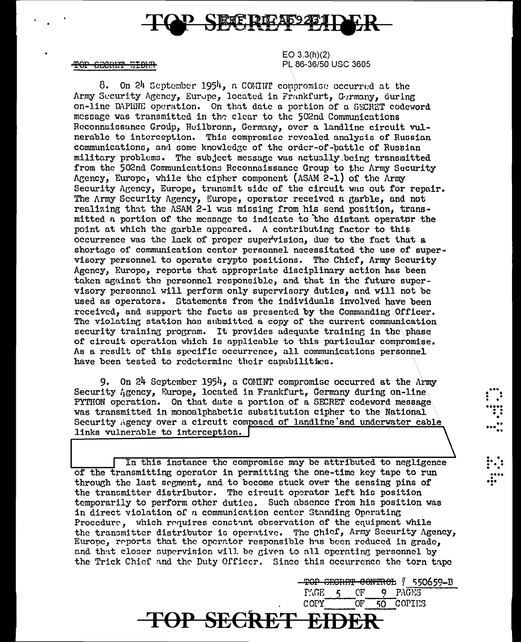

TOP GECRET EIDER

 $EO 3.3(h)(2)$ PL 86-36/50 USC 3605

8. On 24 September 1954, a COMINT compromise occurred at the Army Security Agency, Europe, located in Frankfurt, Germany, during on-line DAPHNE operation. On that date a portion of a SECRET codeword message was transmitted in the clear to the 502nd Communications Reconnaissance Group, Heilbronn, Germany, over a landline circuit vulnerable to interception. This compromise revealed analysis of Russian communications, and some knowledge of the order-of-battle of Russian military problems. The subject message was actually being transmitted from the 502nd Communications Reconnaissance Group to the Army Security Agency, Europe, while the cipher component (ASAM 2-1) of the Army Security Agency, Europe, transmit side of the circuit was out for repair. The Army Security Agency. Europe, operator received a garble, and not realizing that the ASAM 2-1 was missing from his send position, transmitted a portion of the message to indicate to the distant operator the point at which the garble appeared. A contributing factor to this occurrence was the lack of proper supervision, due to the fact that a shortage of communication center personnel necessitated the use of supervisory personnel to operate crypto positions. The Chief, Army Security Agency, Europe, reports that appropriate disciplinary action has been taken against the personnel responsible, and that in the future supervisory personnel will perform only supervisory duties, and will not be used as operators. Statements from the individuals involved have been received, and support the facts as presented by the Commanding Officer. The violating station has submitted a copy of the current communication security training program. It provides adequate training in the phase of circuit operation which is applicable to this particular compromise. As a result of this specific occurrence, all communications personnel have been tested to redetermine their capabilities.

9. On 24 September 1954, a COMINT compromise occurred at the Army Security Agency, Europe, located in Frankfurt, Germany during on-line PYTHON operation. On that date a portion of a SECRET codeword message was transmitted in monoalphabetic substitution cipher to the National Security Agency over a circuit composed of landline and underwater cable links vulnerable to interception.

In this instance the compromise may be attributed to negligence of the transmitting operator in permitting the one-time key tape to run through the last segment, and to become stuck over the sensing pins of the transmitter distributor. The circuit operator left his position temporarily to perform other duties. Such absence from his position was in direct violation of a communication center Standing Operating Procedure, which requires constant observation of the equipment while the transmitter distributor is operative. The Chief, Army Security Agency, Europe, reports that the operator responsible has been reduced in grade, and that closer supervision will be given to all operating personnel by the Trick Chief and the Duty Officer. Since this occurrence the torn tape

TOP SECRET EID

TOP SECRET CONTROL / 550659-B PAGE. СF **9 PAGES** COPY OĿ. 50 COPIES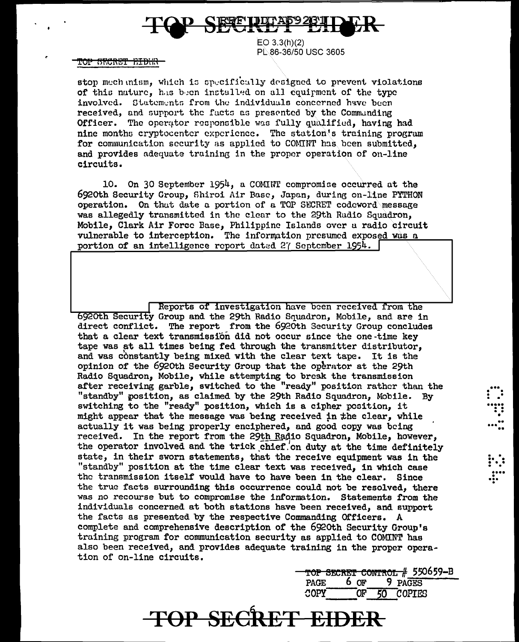

 $EO$  3.3(h)(2) PL-86-36/50 USC 3605

<del>'OP SECRET EIDHR</del>

stop mechanism, which is specifically designed to prevent violations of this nature. has been installed on all couirment of the type involved. Statements from the individuals concerned have been received, and support the facts as presented by the Commanding Officer. The operator responsible was fully qualified, having had nine months cryptocenter experience. The station's training program for communication security as applied to COMINT has been submitted. and provides adequate training in the proper operation of on-line circuits.

10. On 30 September 1954, a COMINT compromise occurred at the 6920th Security Group. Shiroi Air Base, Japan, during on-line PYTHON operation. On that date a portion of a TOP SECRET codeword message was allegedly transmitted in the clear to the 29th Radio Squadron. Mobile. Clark Air Force Base. Philippine Islands over a radio circuit vulnerable to interception. The information presumed exposed was a portion of an intelligence report dated 27 September 1954.

Reports of investigation have been received from the 6920th Security Group and the 29th Radio Squadron, Mobile, and are in direct conflict. The report from the 6920th Security Group concludes that a clear text transmission did not occur since the one-time key tape was at all times being fed through the transmitter distributor. and was constantly being mixed with the clear text tape. It is the opinion of the 6920th Security Group that the operator at the 29th Radio Squadron, Mobile, while attempting to break the transmission after receiving garble, switched to the "ready" position rather than the "standby" position, as claimed by the 29th Radio Squadron, Mobile. By switching to the "ready" position, which is a cipher position, it might appear that the message was being received in the clear, while actually it was being properly enciphered, and good copy was being received. In the report from the 29th Radio Squadron, Mobile, however, the operator involved and the trick chief on duty at the time definitely state, in their sworn statements, that the receive equipment was in the "standby" position at the time clear text was received, in which case the transmission itself would have to have been in the clear. Since the true facts surrounding this occurrence could not be resolved, there was no recourse but to compromise the information. Statements from the individuals concerned at both stations have been received, and support the facts as presented by the respective Commanding Officers. A complete and comprehensive description of the 6920th Security Group's training program for communication security as applied to COMINT has also been received, and provides adequate training in the proper operation of on-line circuits.

|             |              | TOP SECRET CONTROL # 550659-B |
|-------------|--------------|-------------------------------|
| <b>PAGE</b> | 6 OF 9 PAGES |                               |
| COPY        | 50 COPIES    |                               |

TOP SECRET EIDER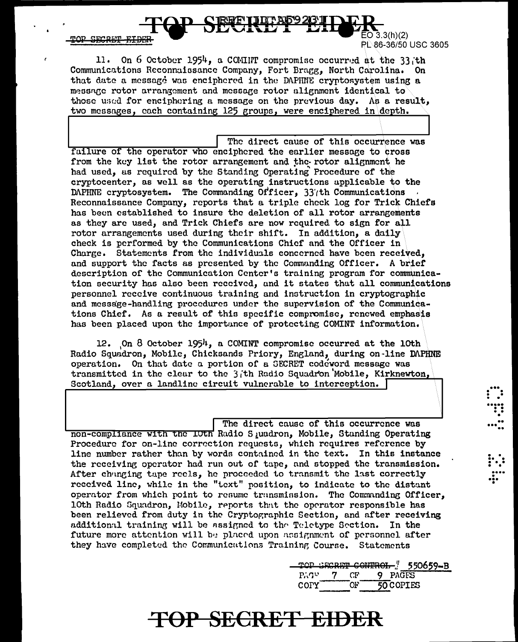TOD SECRET FIRE

 $50\bar{3}.3(h)(2)$ PL 86-36/50 USC 3605

> . . . . <u>.</u> ."<br>. .<br>....

 $\ddot{\cdot}$ .. ... ..

 $\left| \cdot \right|$ 

• • .... I ... •

11. On 6 October 1954, a COMINT compromise occurred at the 33 th Communications Reconnaissance Company, Fort Bragg, North Carolina. On that date a message was enciphered in the DAPHNE cryptosystem using a message rotor arrangement and message rotor alignment identical to those used for enciphering a message on the previous day. As a result. two messages. each containing  $125$  groups. were enciphered in depth.

The direct cause of this occurrence was failure of the operator who enciphered the earlier message to cross from the key list the rotor arrangement and the rotor alignment he had used, as required by the Standing Operating Procedure of the cryptocenter, as well as the operating instructions applicable to the DAPHNE cryptosystem. The Commanding Officer, 33'th Communications Reconnaissance Company, reports that a triple check log for Trick Chiefs has been established to insure the deletion of all rotor arrangements as they are used, and Trick Chiefs are now required to sign for all rotor arrangements used during their shift. In addition, a daily check is performed by the Communications Chief and the Officer in Charge. Statements from the individuals concerned have been received, and support the facts as presented by the Communding Officer. A brief description of the Communication Center's training program for communication security has also been received, and it states that all communications personnel receive continuous training and instruction in cryptographic and meGsage-handling procedureo under the supervision of the Communications Chief. As a result of thia specific compromise, renewed emphasis has been placed upon the importance of protecting COMINT information.

12. On 8 October 1954, a COMINT compromise occurred at the 10th Radio Squadron, Mobile, Chicksands Priory, England, during on-line DAPHNE operation. On that date a portion of u GECRET codeword message was transmitted in the clear to the  $3$ <sub>i</sub>th Radio Squadron'Mobile, Kirknewton, Scotland, over a landlinc circuit vulnerable to interception.

The direct cause of this occurrence was non-compliance with the LUth Radio S *i*uadron, Mobile, Standing Operating Procedure for on-line correction requests, which requires reference by line number rather than by words contained in the text. In this instance the receiving operator had run out of tape, and stopped the transmission. After changing tape reels, he proceeded to transmit the last correctly received line, while in the "text" position, to indicate to the distant operator from which point to resume transmission. The Commanding Officer, 10th Radio Gquadron, Mobile, reports that the operator responsible has been relieved from duty in the Cryptographic Section, and after receiving additional training will be assigned to the Teletype Section. In the future more attention will be placed upon assignment of personnel after they have completed the Communications Training Course. Statements

> TOP SECRET CONTROL ... 550659-B PAGES 7 CF 9 PAGES COPY OF 50 COPIES

# **TOP SECRET EIDER**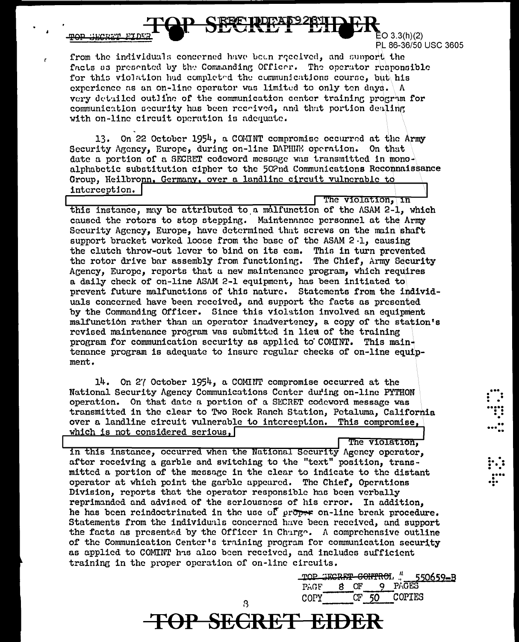$\bar{E}$ O 3.3(h)(2) PL 86-36/50 USC 3605

The violation. in

from the individuals concerned have been received, and support the facts as presented by the Commanding Officer. The operator responsible for this violation had completed the communications course, but his experience as an on-line operator was limited to only ten days.  $\Lambda$ very detailed outline of the communication center training program for communication security has been recrived, and that portion dealing with on-line circuit operation is adequate.

13. On 22 October 1954, a COMINT compromise occurred at the Army Security Agency, Europe, during on-line DAPHINE operation. On that date a portion of a SECRET codeword message was transmitted in monoalphabetic substitution cipher to the 502nd Communications Reconnaissance Group, Heilbronn, Germany, over a landline circuit vulnerable to interception.

this instance, may be attributed to a malfunction of the ASAM 2-1. which caused the rotors to stop stepping. Maintenance personnel at the Army Security Agency, Europe, have determined that screws on the main shaft support bracket worked loose from the base of the ASAM 2.1, causing the clutch throw-out lever to bind on its cam. This in turn prevented the rotor drive bar assembly from functioning. The Chief, Army Security Agency, Europe, reports that a new maintenance program, which requires a daily check of on-line ASAM 2-1 equipment, has been initiated to prevent future malfunctions of this nature. Statements from the individuals concerned have been received, and support the facts as presented by the Commanding Officer. Since this violation involved an equipment malfunction rather than an operator inadvertency, a copy of the station's revised maintenance program was submitted in lieu of the training program for communication security as applied to COMINT. This maintenance program is adequate to insure regular checks of on-line equipment.

14. On 27 October 1954, a COMINT compromise occurred at the National Security Agency Communications Center during on-line PYTHON operation. On that date a portion of a SECRET codeword message was transmitted in the clear to Two Rock Ranch Station, Petaluma, California over a landline circuit vulnerable to interception. This compromise, which is not considered serious,

The violation, in this instance, occurred when the National Security Agency operator, after receiving a garble and switching to the "text" position, transmitted a portion of the message in the clear to indicate to the distant operator at which point the garble appeared. The Chief, Operations Division, reports that the operator responsible has been verbally reprimanded and advised of the seriousness of his error. In addition, he has been reindoctrinated in the use of proper on-line break procedure. Statements from the individuals concerned have been received, and support the facts as presented by the Officer in Charge. A comprehensive outline of the Communication Center's training program for communication security as applied to COMINT has also been received, and includes sufficient training in the proper operation of on-line circuits.

3

**TOP SECRET EIDER** 

TOP SECRET CONTROL " 550659-B 9 PAGES PAGF  $8$  OF COPIES  $\mathtt{COPY}^\top$  $CF<sub>50</sub>$